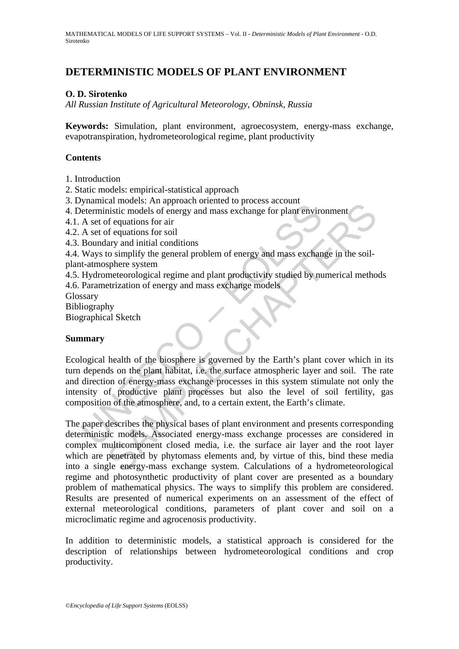# **DETERMINISTIC MODELS OF PLANT ENVIRONMENT**

### **O. D. Sirotenko**

*All Russian Institute of Agricultural Meteorology, Obninsk, Russia* 

**Keywords:** Simulation, plant environment, agroecosystem, energy-mass exchange, evapotranspiration, hydrometeorological regime, plant productivity

#### **Contents**

- 1. Introduction
- 2. Static models: empirical-statistical approach
- 3. Dynamical models: An approach oriented to process account
- 4. Deterministic models of energy and mass exchange for plant environment
- 4.1. A set of equations for air
- 4.2. A set of equations for soil
- 4.3. Boundary and initial conditions
- 4.4. Ways to simplify the general problem of energy and mass exchange in the soil-
- plant-atmosphere system
- 4.5. Hydrometeorological regime and plant productivity studied by numerical methods 4.6. Parametrization of energy and mass exchange models
- Glossary
- Bibliography
- Biographical Sketch

#### **Summary**

*y*-maintain models. The upperator method of energy and mass exchange for plant envirot<br>A set of equations for soil<br>Boundary and initial conditions<br>Ways to simplify the general problem of energy and mass exchannel<br>U-Mays t Ecological health of the biosphere is governed by the Earth's plant cover which in its turn depends on the plant habitat, i.e. the surface atmospheric layer and soil. The rate and direction of energy-mass exchange processes in this system stimulate not only the intensity of productive plant processes but also the level of soil fertility, gas composition of the atmosphere, and, to a certain extent, the Earth's climate.

An involution of energy and mass exchange for plant environment<br>
ansitic models of energy and mass exchange for plant environment<br>
or dequations for soil<br>
or dequations for soil<br>
for equations for soil<br>
cosimplify the gene The paper describes the physical bases of plant environment and presents corresponding deterministic models. Associated energy-mass exchange processes are considered in complex multicomponent closed media, i.e. the surface air layer and the root layer which are penetrated by phytomass elements and, by virtue of this, bind these media into a single energy-mass exchange system. Calculations of a hydrometeorological regime and photosynthetic productivity of plant cover are presented as a boundary problem of mathematical physics. The ways to simplify this problem are considered. Results are presented of numerical experiments on an assessment of the effect of external meteorological conditions, parameters of plant cover and soil on a microclimatic regime and agrocenosis productivity.

In addition to deterministic models, a statistical approach is considered for the description of relationships between hydrometeorological conditions and crop productivity.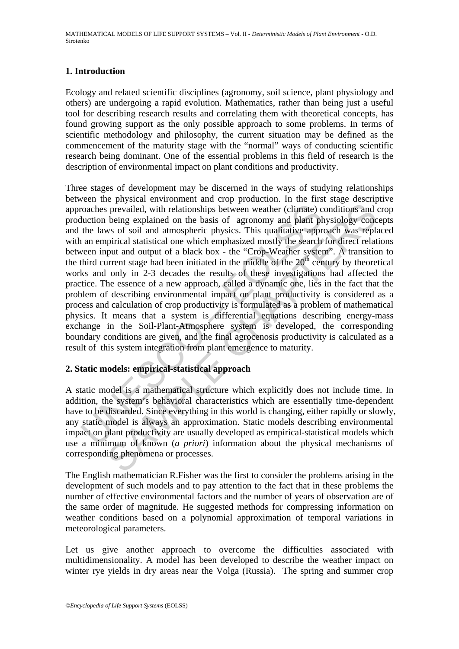## **1. Introduction**

Ecology and related scientific disciplines (agronomy, soil science, plant physiology and others) are undergoing a rapid evolution. Mathematics, rather than being just a useful tool for describing research results and correlating them with theoretical concepts, has found growing support as the only possible approach to some problems. In terms of scientific methodology and philosophy, the current situation may be defined as the commencement of the maturity stage with the "normal" ways of conducting scientific research being dominant. One of the essential problems in this field of research is the description of environmental impact on plant conditions and productivity.

roaches prevailed, with relationships between weather (climate) cluction being explained on the basis of agronomy and plant pl<br>the laws of soil and atmospheric physics. This qualitative appr<br>an empirical statistical one w is prevailed, with relationships between weather (climate) conditions and being explained on the basis of agronomy and plant physiology concess of soil and atmospheric physics. This qualitative approach was replied the pri Three stages of development may be discerned in the ways of studying relationships between the physical environment and crop production. In the first stage descriptive approaches prevailed, with relationships between weather (climate) conditions and crop production being explained on the basis of agronomy and plant physiology concepts and the laws of soil and atmospheric physics. This qualitative approach was replaced with an empirical statistical one which emphasized mostly the search for direct relations between input and output of a black box - the "Crop-Weather system". A transition to the third current stage had been initiated in the middle of the  $20<sup>th</sup>$  century by theoretical works and only in 2-3 decades the results of these investigations had affected the practice. The essence of a new approach, called a dynamic one, lies in the fact that the problem of describing environmental impact on plant productivity is considered as a process and calculation of crop productivity is formulated as a problem of mathematical physics. It means that a system is differential equations describing energy-mass exchange in the Soil-Plant-Atmosphere system is developed, the corresponding boundary conditions are given, and the final agrocenosis productivity is calculated as a result of this system integration from plant emergence to maturity.

# **2. Static models: empirical-statistical approach**

A static model is a mathematical structure which explicitly does not include time. In addition, the system's behavioral characteristics which are essentially time-dependent have to be discarded. Since everything in this world is changing, either rapidly or slowly, any static model is always an approximation. Static models describing environmental impact on plant productivity are usually developed as empirical-statistical models which use a minimum of known (*a priori*) information about the physical mechanisms of corresponding phenomena or processes.

The English mathematician R.Fisher was the first to consider the problems arising in the development of such models and to pay attention to the fact that in these problems the number of effective environmental factors and the number of years of observation are of the same order of magnitude. He suggested methods for compressing information on weather conditions based on a polynomial approximation of temporal variations in meteorological parameters.

Let us give another approach to overcome the difficulties associated with multidimensionality. A model has been developed to describe the weather impact on winter rye yields in dry areas near the Volga (Russia). The spring and summer crop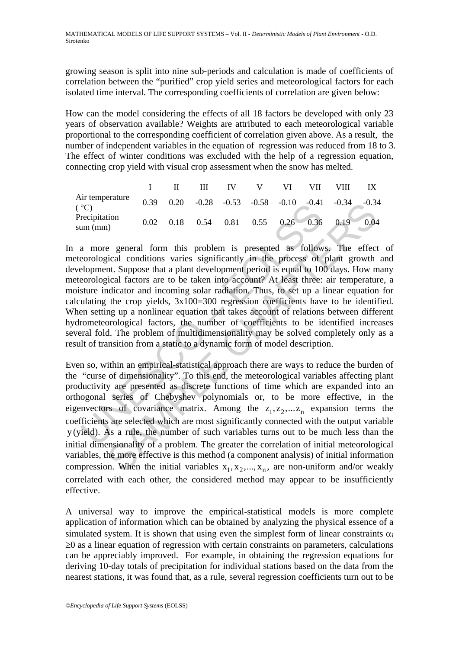growing season is split into nine sub-periods and calculation is made of coefficients of correlation between the "purified" crop yield series and meteorological factors for each isolated time interval. The corresponding coefficients of correlation are given below:

How can the model considering the effects of all 18 factors be developed with only 23 years of observation available? Weights are attributed to each meteorological variable proportional to the corresponding coefficient of correlation given above. As a result, the number of independent variables in the equation of regression was reduced from 18 to 3. The effect of winter conditions was excluded with the help of a regression equation, connecting crop yield with visual crop assessment when the snow has melted.

|                           |      |      | Ш |             |  | VIII                                                           |      |
|---------------------------|------|------|---|-------------|--|----------------------------------------------------------------|------|
| Air temperature<br>(°C)   | 0.39 |      |   |             |  | $0.20$ $-0.28$ $-0.53$ $-0.58$ $-0.10$ $-0.41$ $-0.34$ $-0.34$ |      |
| Precipitation<br>sum (mm) | 0.02 | 0.18 |   | $0.54$ 0.81 |  | $0.55$ $0.26$ $0.36$ $0.19$                                    | 0.04 |

<sup>o</sup>C)<br>
<sup>0.39</sup> 0.20 -0.26 -0.35 -0.36 -0.10 -0.41<br>
necipitation<br>
am (mm)<br>
0.02 0.18 0.54 0.81 0.55 0.26 0.36<br>
a more general form this problem is presented as follow<br>
eorological conditions varies significantly in the proc In a more general form this problem is presented as follows. The effect of meteorological conditions varies significantly in the process of plant growth and development. Suppose that a plant development period is equal to 100 days. How many meteorological factors are to be taken into account? At least three: air temperature, a moisture indicator and incoming solar radiation. Thus, to set up a linear equation for calculating the crop yields, 3x100=300 regression coefficients have to be identified. When setting up a nonlinear equation that takes account of relations between different hydrometeorological factors, the number of coefficients to be identified increases several fold. The problem of multidimensionality may be solved completely only as a result of transition from a static to a dynamic form of model description.

0.39 0.20 -0.28 -0.35 -0.38 -0.10 -0.44 -0.34 -0.35<br>
tion<br>
tion<br>
tion<br>
complement problem is presented as follows. The effect<br>
cigical conditions varies significantly in the process of plant growth<br>
experiment Suppose tha Even so, within an empirical-statistical approach there are ways to reduce the burden of the "curse of dimensionality". To this end, the meteorological variables affecting plant productivity are presented as discrete functions of time which are expanded into an orthogonal series of Chebyshev polynomials or, to be more effective, in the eigenvectors of covariance matrix. Among the  $z_1, z_2, ... z_n$  expansion terms the coefficients are selected which are most significantly connected with the output variable y (yield). As a rule, the number of such variables turns out to be much less than the initial dimensionality of a problem. The greater the correlation of initial meteorological variables, the more effective is this method (a component analysis) of initial information compression. When the initial variables  $x_1, x_2, ..., x_n$ , are non-uniform and/or weakly correlated with each other, the considered method may appear to be insufficiently effective.

A universal way to improve the empirical-statistical models is more complete application of information which can be obtained by analyzing the physical essence of a simulated system. It is shown that using even the simplest form of linear constraints  $\alpha_i$  $\geq 0$  as a linear equation of regression with certain constraints on parameters, calculations can be appreciably improved. For example, in obtaining the regression equations for deriving 10-day totals of precipitation for individual stations based on the data from the nearest stations, it was found that, as a rule, several regression coefficients turn out to be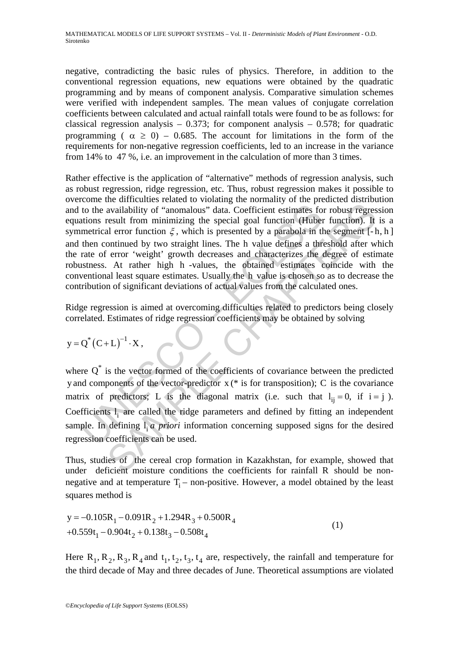MATHEMATICAL MODELS OF LIFE SUPPORT SYSTEMS – Vol. II - *Deterministic Models of Plant Environment* - O.D. Sirotenko

negative, contradicting the basic rules of physics. Therefore, in addition to the conventional regression equations, new equations were obtained by the quadratic programming and by means of component analysis. Comparative simulation schemes were verified with independent samples. The mean values of conjugate correlation coefficients between calculated and actual rainfall totals were found to be as follows: for classical regression analysis –  $0.373$ ; for component analysis –  $0.578$ ; for quadratic programming (  $\alpha \ge 0$ ) – 0.685. The account for limitations in the form of the requirements for non-negative regression coefficients, led to an increase in the variance from 14% to 47 %, i.e. an improvement in the calculation of more than 3 times.

to the availability of "anomalous" data. Coefficient estimates fo<br>tions result from minimizing the special goal function (Huber<br>metrical error function  $\xi$ , which is presented by a parabola in the<br>then continued by two s and annual containing of "anomalous" data. Coefficient estimates for robust regressive from minimizing the special goal function (Huber function). It al error function  $\xi$ , which is presented by a parabola in the segment Rather effective is the application of "alternative" methods of regression analysis, such as robust regression, ridge regression, etc. Thus, robust regression makes it possible to overcome the difficulties related to violating the normality of the predicted distribution and to the availability of "anomalous" data. Coefficient estimates for robust regression equations result from minimizing the special goal function (Huber function). It is a symmetrical error function  $\xi$ , which is presented by a parabola in the segment [-h, h] and then continued by two straight lines. The h value defines a threshold after which the rate of error 'weight' growth decreases and characterizes the degree of estimate robustness. At rather high h -values, the obtained estimates coincide with the conventional least square estimates. Usually the h value is chosen so as to decrease the contribution of significant deviations of actual values from the calculated ones.

Ridge regression is aimed at overcoming difficulties related to predictors being closely correlated. Estimates of ridge regression coefficients may be obtained by solving

$$
y = Q^* (C + L)^{-1} \cdot X,
$$

where  $Q^*$  is the vector formed of the coefficients of covariance between the predicted y and components of the vector-predictor x (\* is for transposition); C is the covariance matrix of predictors; L is the diagonal matrix (i.e. such that  $l_{ii} = 0$ , if  $i = j$ ). Coefficients  $l_i$  are called the ridge parameters and defined by fitting an independent sample. In defining  $l_i a$  *priori* information concerning supposed signs for the desired regression coefficients can be used.

Thus, studies of the cereal crop formation in Kazakhstan, for example, showed that under deficient moisture conditions the coefficients for rainfall R should be nonnegative and at temperature  $T_i$  – non-positive. However, a model obtained by the least squares method is

$$
y = -0.105R_1 - 0.091R_2 + 1.294R_3 + 0.500R_4
$$
  
+0.559t<sub>1</sub> - 0.904t<sub>2</sub> + 0.138t<sub>3</sub> - 0.508t<sub>4</sub> (1)

Here  $R_1, R_2, R_3, R_4$  and  $t_1, t_2, t_3, t_4$  are, respectively, the rainfall and temperature for the third decade of May and three decades of June. Theoretical assumptions are violated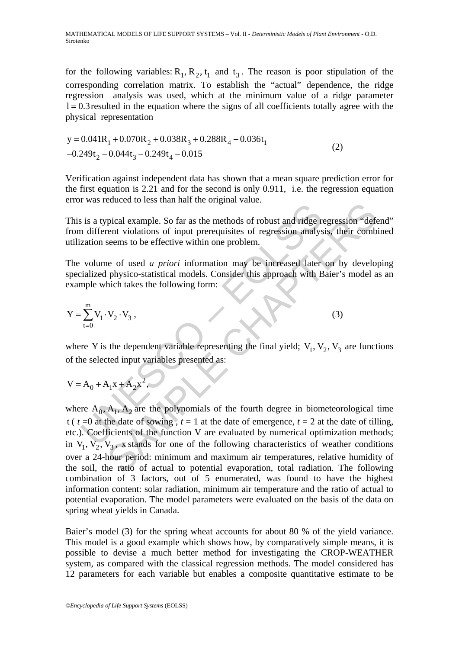for the following variables:  $R_1, R_2, t_1$  and  $t_3$ . The reason is poor stipulation of the corresponding correlation matrix. To establish the "actual" dependence, the ridge regression analysis was used, which at the minimum value of a ridge parameter  $l = 0.3$  resulted in the equation where the signs of all coefficients totally agree with the physical representation

$$
y = 0.041R1 + 0.070R2 + 0.038R3 + 0.288R4 - 0.036t1-0.249t2 - 0.044t3 - 0.249t4 - 0.015
$$
 (2)

Verification against independent data has shown that a mean square prediction error for the first equation is 2.21 and for the second is only 0.911, i.e. the regression equation error was reduced to less than half the original value.

This is a typical example. So far as the methods of robust and ridge regression "defend" from different violations of input prerequisites of regression analysis, their combined utilization seems to be effective within one problem.

The volume of used *a priori* information may be increased later on by developing specialized physico-statistical models. Consider this approach with Baier's model as an example which takes the following form:

$$
Y = \sum_{t=0}^{m} V_1 \cdot V_2 \cdot V_3,
$$
 (3)

where Y is the dependent variable representing the final yield;  $V_1$ ,  $V_2$ ,  $V_3$  are functions of the selected input variables presented as:

$$
V = A_0 + A_1 x + A_2 x^2,
$$

And vectors in an in the original value.<br>
is a typical example. So far as the methods of robust and ridge round if different violations of input prerequisites of regression analystication seems to be effective within one pical example. So far as the methods of robust and ridge regression "def-<br>referent violations of input prerequisites of regression analysis, their comb<br>seems to be effective within one problem.<br>Let us a priori information where  $A_0$ ,  $A_1$ ,  $A_2$  are the polynomials of the fourth degree in biometeorological time t ( $t = 0$  at the date of sowing,  $t = 1$  at the date of emergence,  $t = 2$  at the date of tilling, etc.). Coefficients of the function V are evaluated by numerical optimization methods; in  $V_1$ ,  $V_2$ ,  $V_3$ , x stands for one of the following characteristics of weather conditions over a 24-hour period: minimum and maximum air temperatures, relative humidity of the soil, the ratio of actual to potential evaporation, total radiation. The following combination of 3 factors, out of 5 enumerated, was found to have the highest information content: solar radiation, minimum air temperature and the ratio of actual to potential evaporation. The model parameters were evaluated on the basis of the data on spring wheat yields in Canada.

Baier's model (3) for the spring wheat accounts for about 80 % of the yield variance. This model is a good example which shows how, by comparatively simple means, it is possible to devise a much better method for investigating the CROP-WEATHER system, as compared with the classical regression methods. The model considered has 12 parameters for each variable but enables a composite quantitative estimate to be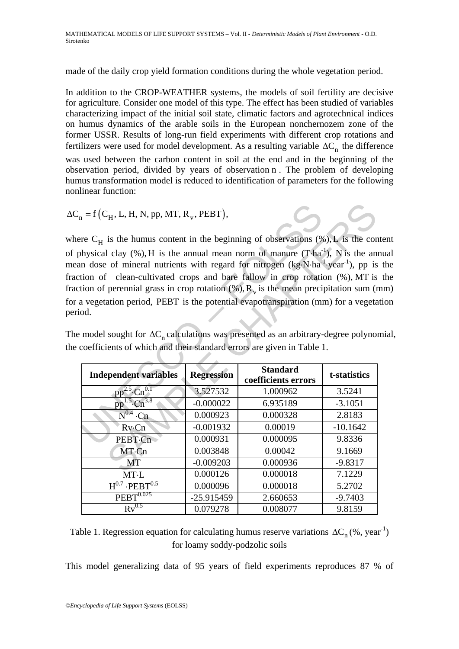MATHEMATICAL MODELS OF LIFE SUPPORT SYSTEMS – Vol. II - *Deterministic Models of Plant Environment* - O.D. Sirotenko

made of the daily crop yield formation conditions during the whole vegetation period.

In addition to the CROP-WEATHER systems, the models of soil fertility are decisive for agriculture. Consider one model of this type. The effect has been studied of variables characterizing impact of the initial soil state, climatic factors and agrotechnical indices on humus dynamics of the arable soils in the European nonchernozem zone of the former USSR. Results of long-run field experiments with different crop rotations and fertilizers were used for model development. As a resulting variable  $\Delta C_n$  the difference was used between the carbon content in soil at the end and in the beginning of the observation period, divided by years of observation n . The problem of developing humus transformation model is reduced to identification of parameters for the following nonlinear function:

$$
\Delta C_n = f(C_H, L, H, N, pp, MT, R_v, PEBT),
$$

where  $C_H$  is the humus content in the beginning of observations (%), L is the content of physical clay  $(\%)$ , H is the annual mean norm of manure (T⋅ha<sup>-1</sup>), N is the annual mean dose of mineral nutrients with regard for nitrogen  $(kg \cdot N \cdot ha^{-1} \cdot year^{-1})$ , pp is the fraction of clean-cultivated crops and bare fallow in crop rotation (%), MT is the fraction of perennial grass in crop rotation  $(\%), R_v$  is the mean precipitation sum (mm) for a vegetation period, PEBT is the potential evapotranspiration (mm) for a vegetation period.

The model sought for  $\Delta C_n$  calculations was presented as an arbitrary-degree polynomial, the coefficients of which and their standard errors are given in Table 1.

| $_{1}$ = f (C <sub>H</sub> , L, H, N, pp, MT, R <sub>y</sub> , PEBT),                                      |                          |                                        |                     |
|------------------------------------------------------------------------------------------------------------|--------------------------|----------------------------------------|---------------------|
| re C <sub>H</sub> is the humus content in the beginning of observations $(\%)$ , L is the con              |                          |                                        |                     |
| hysical clay $(\%)$ , H is the annual mean norm of manure $(T \cdot ha^{-1})$ , N is the an                |                          |                                        |                     |
| in dose of mineral nutrients with regard for nitrogen $(kg \cdot N \cdot ha^{-1} \cdot year^{-1})$ , pp is |                          |                                        |                     |
| tion of clean-cultivated crops and bare fallow in crop rotation (%), MT is                                 |                          |                                        |                     |
| tion of perennial grass in crop rotation $(\%), R_{v}$ is the mean precipitation sum (r                    |                          |                                        |                     |
| a vegetation period, PEBT is the potential evapotranspiration (mm) for a vegeta                            |                          |                                        |                     |
| od.                                                                                                        |                          |                                        |                     |
|                                                                                                            |                          |                                        |                     |
|                                                                                                            |                          |                                        |                     |
| model sought for $\Delta C$ <sub>n</sub> calculations was presented as an arbitrary-degree polynois        |                          |                                        |                     |
| coefficients of which and their standard errors are given in Table 1.                                      |                          |                                        |                     |
|                                                                                                            |                          |                                        |                     |
| <b>Independent variables</b>                                                                               | <b>Regression</b>        | <b>Standard</b><br>coefficients errors | t-statistics        |
| $pn^{2.5}$                                                                                                 | 3.527532                 | 1.000962                               | 3.5241              |
| 3.8<br>pp                                                                                                  | $-0.000022$              | 6.935189                               | $-3.1051$           |
| $N^{0.4}$<br>·Cn                                                                                           | 0.000923                 | 0.000328                               | 2.8183              |
| $Rv$ · $Cn$                                                                                                | $-0.001932$              | 0.00019                                | $-10.1642$          |
| PEBT·Cn                                                                                                    | 0.000931                 | 0.000095                               | 9.8336              |
| MT·Cn                                                                                                      | 0.003848                 | 0.00042                                | 9.1669              |
| <b>MT</b>                                                                                                  | $-0.009203$              | 0.000936                               | $-9.8317$           |
| MT·L                                                                                                       | 0.000126                 | 0.000018                               | 7.1229              |
| $H^{0.7}$ ·PEBT $^{0.5}$                                                                                   | 0.000096                 | 0.000018                               | 5.2702              |
| $PEBT^{0.025}$<br>$Rv^{0.5}$                                                                               | $-25.915459$<br>0.079278 | 2.660653<br>0.008077                   | $-9.7403$<br>9.8159 |

Table 1. Regression equation for calculating humus reserve variations  $\Delta C_n$  (%, year<sup>-1</sup>) for loamy soddy-podzolic soils

This model generalizing data of 95 years of field experiments reproduces 87 % of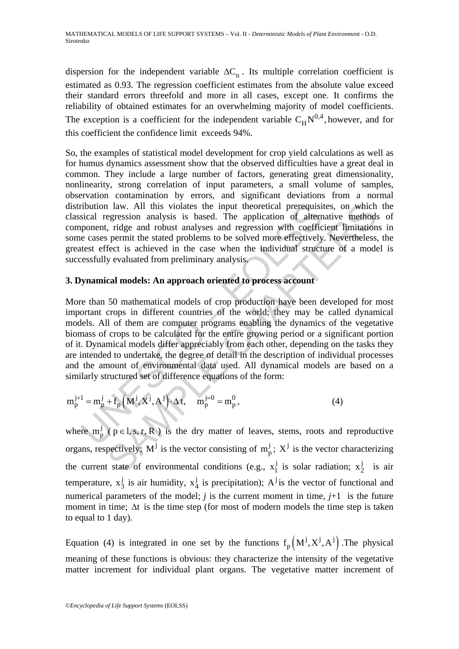dispersion for the independent variable  $\Delta C_n$ . Its multiple correlation coefficient is estimated as 0.93. The regression coefficient estimates from the absolute value exceed their standard errors threefold and more in all cases, except one. It confirms the reliability of obtained estimates for an overwhelming majority of model coefficients. The exception is a coefficient for the independent variable  $C_H N^{0,4}$ , however, and for this coefficient the confidence limit exceeds 94%.

So, the examples of statistical model development for crop yield calculations as well as for humus dynamics assessment show that the observed difficulties have a great deal in common. They include a large number of factors, generating great dimensionality, nonlinearity, strong correlation of input parameters, a small volume of samples, observation contamination by errors, and significant deviations from a normal distribution law. All this violates the input theoretical prerequisites, on which the classical regression analysis is based. The application of alternative methods of component, ridge and robust analyses and regression with coefficient limitations in some cases permit the stated problems to be solved more effectively. Nevertheless, the greatest effect is achieved in the case when the individual structure of a model is successfully evaluated from preliminary analysis.

### **3. Dynamical models: An approach oriented to process account**

ribution law. All this violates the input theoretical prerequisi<br>sical regression analysis is based. The application of altern<br>popenent, ridge and robust analyses and regression with coeffice<br>e cases permit the stated pro 1 law. All this violates the input theoretical prerequisites, on which<br>egension analysis is based. The application of alternative methods,<br>i. ridge and robust analyses and regression with coefficient limitation<br>permit the More than 50 mathematical models of crop production have been developed for most important crops in different countries of the world; they may be called dynamical models. All of them are computer programs enabling the dynamics of the vegetative biomass of crops to be calculated for the entire growing period or a significant portion of it. Dynamical models differ appreciably from each other, depending on the tasks they are intended to undertake, the degree of detail in the description of individual processes and the amount of environmental data used. All dynamical models are based on a similarly structured set of difference equations of the form:

$$
m_p^{j+1} = m_p^j + f_p(M^j, X^j, A^j) \cdot \Delta t, \quad m_p^{j=0} = m_p^0,
$$
 (4)

where  $m_p^j$  (  $p \in l$ , s, r, R ) is the dry matter of leaves, stems, roots and reproductive organs, respectively;  $M^{j}$  is the vector consisting of  $m_{p}^{j}$ ;  $X^{j}$  is the vector characterizing the current state of environmental conditions (e.g.,  $x_1^j$  is solar radiation;  $x_2^j$  is air temperature,  $x_3^j$  is air humidity,  $x_4^j$  is precipitation);  $A^j$  is the vector of functional and numerical parameters of the model;  $j$  is the current moment in time,  $j+1$  is the future moment in time;  $\Delta t$  is the time step (for most of modern models the time step is taken to equal to 1 day).

Equation (4) is integrated in one set by the functions  $f_p(M^j, X^j, A^j)$ . The physical meaning of these functions is obvious: they characterize the intensity of the vegetative matter increment for individual plant organs. The vegetative matter increment of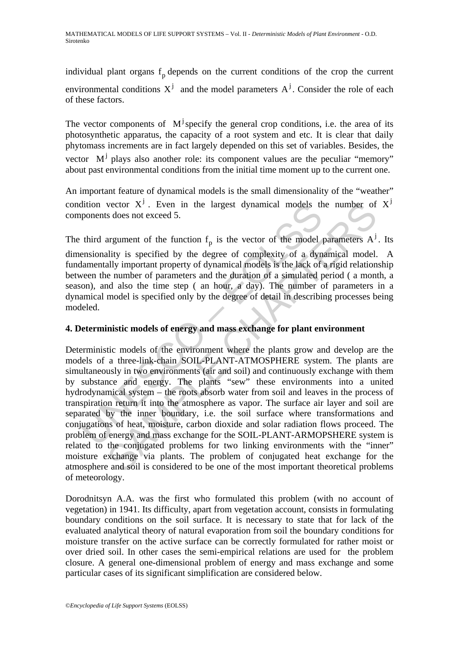individual plant organs  $f<sub>p</sub>$  depends on the current conditions of the crop the current environmental conditions  $X^j$  and the model parameters  $A^j$ . Consider the role of each of these factors.

The vector components of  $M^j$  specify the general crop conditions, i.e. the area of its photosynthetic apparatus, the capacity of a root system and etc. It is clear that daily phytomass increments are in fact largely depended on this set of variables. Besides, the vector  $M^j$  plays also another role: its component values are the peculiar "memory" about past environmental conditions from the initial time moment up to the current one.

An important feature of dynamical models is the small dimensionality of the "weather" condition vector  $X^j$ . Even in the largest dynamical models the number of  $X^j$ components does not exceed 5.

The third argument of the function  $f_n$  is the vector of the model parameters  $A^j$ . Its

dimensionality is specified by the degree of complexity of a dynamical model. A fundamentally important property of dynamical models is the lack of a rigid relationship between the number of parameters and the duration of a simulated period ( a month, a season), and also the time step ( an hour, a day). The number of parameters in a dynamical model is specified only by the degree of detail in describing processes being modeled.

# **4. Deterministic models of energy and mass exchange for plant environment**

dition vector  $X^j$ . Even in the largest dynamical models the<br>ponents does not exceed 5.<br>third argument of the function  $f_p$  is the vector of the model<br>pensionality is specified by the degree of complexity of a dynametall vector  $X^j$ . Even in the largest dynamical models the number of<br>s does not exceed 5.<br>argument of the function  $f_p$  is the vector of the model parameters  $A^j$ <br>ality is specified by the degree of complexity of a dynamical Deterministic models of the environment where the plants grow and develop are the models of a three-link-chain SOIL-PLANT-ATMOSPHERE system. The plants are simultaneously in two environments (air and soil) and continuously exchange with them by substance and energy. The plants "sew" these environments into a united hydrodynamical system – the roots absorb water from soil and leaves in the process of transpiration return it into the atmosphere as vapor. The surface air layer and soil are separated by the inner boundary, i.e. the soil surface where transformations and conjugations of heat, moisture, carbon dioxide and solar radiation flows proceed. The problem of energy and mass exchange for the SOIL-PLANT-ARMOPSHERE system is related to the conjugated problems for two linking environments with the "inner" moisture exchange via plants. The problem of conjugated heat exchange for the atmosphere and soil is considered to be one of the most important theoretical problems of meteorology.

Dorodnitsyn A.A. was the first who formulated this problem (with no account of vegetation) in 1941. Its difficulty, apart from vegetation account, consists in formulating boundary conditions on the soil surface. It is necessary to state that for lack of the evaluated analytical theory of natural evaporation from soil the boundary conditions for moisture transfer on the active surface can be correctly formulated for rather moist or over dried soil. In other cases the semi-empirical relations are used for the problem closure. A general one-dimensional problem of energy and mass exchange and some particular cases of its significant simplification are considered below.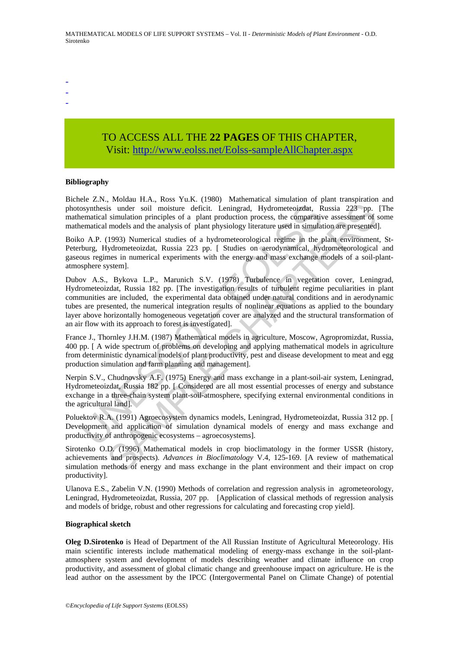-

- -

# TO ACCESS ALL THE **22 PAGES** OF THIS CHAPTER, Visit: [http://www.eolss.net/Eolss-sampleAllChapter.aspx](https://www.eolss.net/ebooklib/sc_cart.aspx?File=E6-03A-05-03)

#### **Bibliography**

Bichele Z.N., Moldau H.A., Ross Yu.K. (1980) Mathematical simulation of plant transpiration and photosynthesis under soil moisture deficit. Leningrad, Hydrometeoizdat, Russia 223 pp. [The mathematical simulation principles of a plant production process, the comparative assessment of some mathematical models and the analysis of plant physiology literature used in simulation are presented].

Boiko A.P. (1993) Numerical studies of a hydrometeorological regime in the plant environment, St-Peterburg, Hydrometeoizdat, Russia 223 pp. [ Studies on aerodynamical, hydrometeorological and gaseous regimes in numerical experiments with the energy and mass exchange models of a soil-plantatmosphere system].

osynthesis under soil moisture deficit. Leningrad, Hydrometeoizdat, Rematical simulation principles of a plant production process, the comparative meant of mean and the analysis of plant physiology literature used in simul is under soil moisture deficit. Leningrad, Hydrometeoizdat, Russia 223 pp.<br>
is under soil moisture deficit. Leningrad, Hydrometeoizdat, Russia 223 pp.<br>
is under soil moisture deficit. Leningrad, Hydrometeoizdat, Russia 223 Dubov A.S., Bykova L.P., Marunich S.V. (1978) Turbulence in vegetation cover, Leningrad, Hydrometeoizdat, Russia 182 pp. [The investigation results of turbulent regime peculiarities in plant communities are included, the experimental data obtained under natural conditions and in aerodynamic tubes are presented, the numerical integration results of nonlinear equations as applied to the boundary layer above horizontally homogeneous vegetation cover are analyzed and the structural transformation of an air flow with its approach to forest is investigated].

France J., Thornley J.H.M. (1987) Mathematical models in agriculture, Moscow, Agropromizdat, Russia, 400 pp. [ A wide spectrum of problems on developing and applying mathematical models in agriculture from deterministic dynamical models of plant productivity, pest and disease development to meat and egg production simulation and farm planning and management].

Nerpin S.V., Chudnovsky A.F. (1975) Energy and mass exchange in a plant-soil-air system, Leningrad, Hydrometeoizdat, Russia 182 pp. [ Considered are all most essential processes of energy and substance exchange in a three-chain system plant-soil-atmosphere, specifying external environmental conditions in the agricultural land].

Poluektov R.A. (1991) Agroecosystem dynamics models, Leningrad, Hydrometeoizdat, Russia 312 pp. [ Development and application of simulation dynamical models of energy and mass exchange and productivity of anthropogenic ecosystems – agroecosystems].

Sirotenko O.D. (1996) Mathematical models in crop bioclimatology in the former USSR (history, achievements and prospects). *Advances in Bioclimatology* V.4, 125-169. [A review of mathematical simulation methods of energy and mass exchange in the plant environment and their impact on crop productivity].

Ulanova E.S., Zabelin V.N. (1990) Methods of correlation and regression analysis in agrometeorology, Leningrad, Hydrometeoizdat, Russia, 207 pp. [Application of classical methods of regression analysis and models of bridge, robust and other regressions for calculating and forecasting crop yield].

#### **Biographical sketch**

**Oleg D.Sirotenko** is Head of Department of the All Russian Institute of Agricultural Meteorology. His main scientific interests include mathematical modeling of energy-mass exchange in the soil-plantatmosphere system and development of models describing weather and climate influence on crop productivity, and assessment of global climatic change and greenhoouse impact on agriculture. He is the lead author on the assessment by the IPCC (Intergovermental Panel on Climate Change) of potential